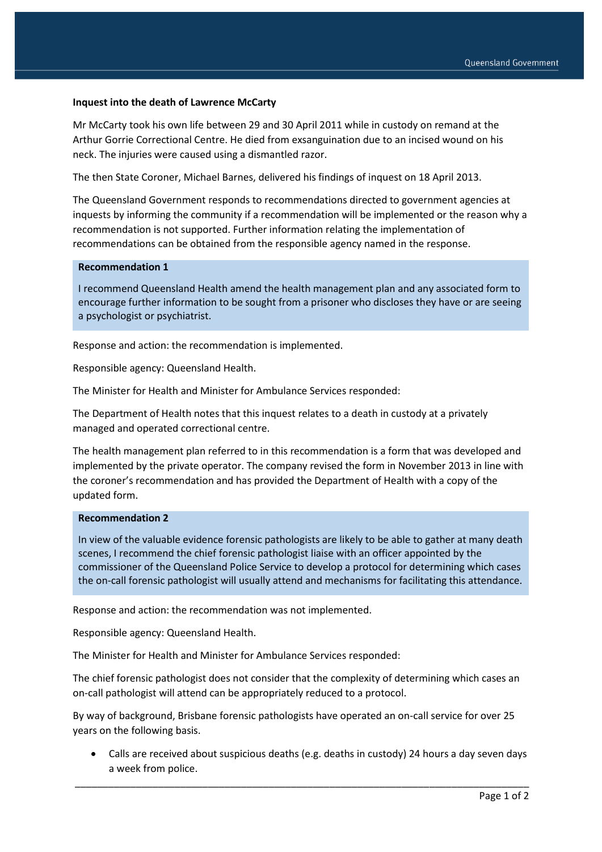## **Inquest into the death of Lawrence McCarty**

Mr McCarty took his own life between 29 and 30 April 2011 while in custody on remand at the Arthur Gorrie Correctional Centre. He died from exsanguination due to an incised wound on his neck. The injuries were caused using a dismantled razor.

The then State Coroner, Michael Barnes, delivered his findings of inquest on 18 April 2013.

The Queensland Government responds to recommendations directed to government agencies at inquests by informing the community if a recommendation will be implemented or the reason why a recommendation is not supported. Further information relating the implementation of recommendations can be obtained from the responsible agency named in the response.

## **Recommendation 1**

I recommend Queensland Health amend the health management plan and any associated form to encourage further information to be sought from a prisoner who discloses they have or are seeing a psychologist or psychiatrist.

Response and action: the recommendation is implemented.

Responsible agency: Queensland Health.

The Minister for Health and Minister for Ambulance Services responded:

The Department of Health notes that this inquest relates to a death in custody at a privately managed and operated correctional centre.

The health management plan referred to in this recommendation is a form that was developed and implemented by the private operator. The company revised the form in November 2013 in line with the coroner's recommendation and has provided the Department of Health with a copy of the updated form.

## **Recommendation 2**

In view of the valuable evidence forensic pathologists are likely to be able to gather at many death scenes, I recommend the chief forensic pathologist liaise with an officer appointed by the commissioner of the Queensland Police Service to develop a protocol for determining which cases the on-call forensic pathologist will usually attend and mechanisms for facilitating this attendance.

Response and action: the recommendation was not implemented.

Responsible agency: Queensland Health.

The Minister for Health and Minister for Ambulance Services responded:

The chief forensic pathologist does not consider that the complexity of determining which cases an on-call pathologist will attend can be appropriately reduced to a protocol.

By way of background, Brisbane forensic pathologists have operated an on-call service for over 25 years on the following basis.

 Calls are received about suspicious deaths (e.g. deaths in custody) 24 hours a day seven days a week from police.

\_\_\_\_\_\_\_\_\_\_\_\_\_\_\_\_\_\_\_\_\_\_\_\_\_\_\_\_\_\_\_\_\_\_\_\_\_\_\_\_\_\_\_\_\_\_\_\_\_\_\_\_\_\_\_\_\_\_\_\_\_\_\_\_\_\_\_\_\_\_\_\_\_\_\_\_\_\_\_\_\_\_